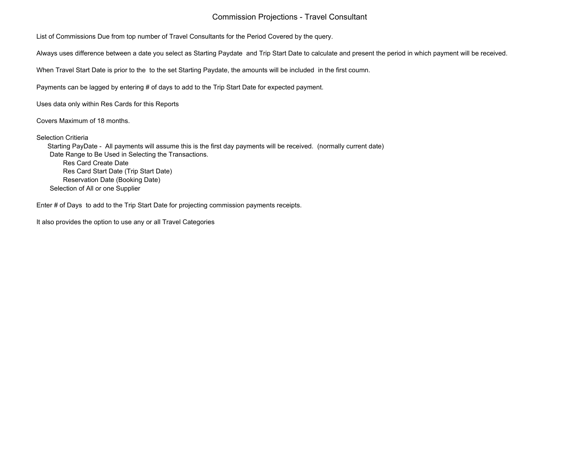## Commission Projections - Travel Consultant

List of Commissions Due from top number of Travel Consultants for the Period Covered by the query.

Always uses difference between a date you select as Starting Paydate and Trip Start Date to calculate and present the period in which payment will be received.

When Travel Start Date is prior to the to the set Starting Paydate, the amounts will be included in the first coumn.

Payments can be lagged by entering # of days to add to the Trip Start Date for expected payment.

Uses data only within Res Cards for this Reports

Covers Maximum of 18 months.

Selection Critieria

 Starting PayDate - All payments will assume this is the first day payments will be received. (normally current date) Date Range to Be Used in Selecting the Transactions. Res Card Create Date Res Card Start Date (Trip Start Date) Reservation Date (Booking Date) Selection of All or one Supplier

Enter # of Days to add to the Trip Start Date for projecting commission payments receipts.

It also provides the option to use any or all Travel Categories